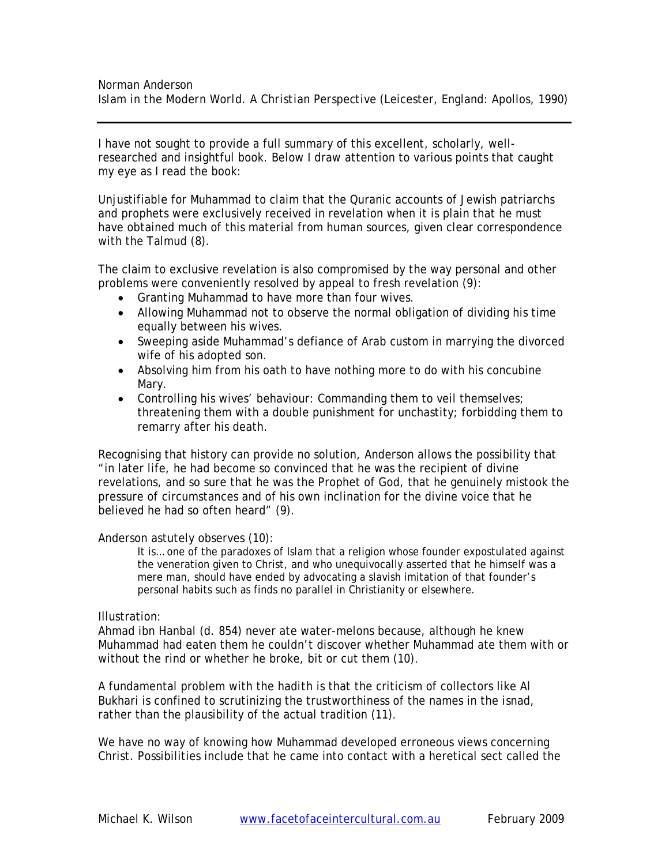I have not sought to provide a full summary of this excellent, scholarly, wellresearched and insightful book. Below I draw attention to various points that caught my eye as I read the book:

Unjustifiable for Muhammad to claim that the Quranic accounts of Jewish patriarchs and prophets were exclusively received in revelation when it is plain that he must have obtained much of this material from human sources, given clear correspondence with the Talmud (8).

The claim to exclusive revelation is also compromised by the way personal and other problems were conveniently resolved by appeal to fresh revelation (9):

- Granting Muhammad to have more than four wives.
- Allowing Muhammad not to observe the normal obligation of dividing his time equally between his wives.
- Sweeping aside Muhammad's defiance of Arab custom in marrying the divorced wife of his adopted son.
- Absolving him from his oath to have nothing more to do with his concubine Mary.
- Controlling his wives' behaviour: Commanding them to veil themselves; threatening them with a double punishment for unchastity; forbidding them to remarry after his death.

Recognising that history can provide no solution, Anderson allows the possibility that "in later life, he had become so convinced that he was the recipient of divine revelations, and so sure that he was the Prophet of God, that he genuinely mistook the pressure of circumstances and of his own inclination for the divine voice that he believed he had so often heard" (9).

Anderson astutely observes (10):

It is… one of the paradoxes of Islam that a religion whose founder expostulated against the veneration given to Christ, and who unequivocally asserted that he himself was a mere man, should have ended by advocating a slavish imitation of that founder's personal habits such as finds no parallel in Christianity or elsewhere.

# Illustration:

Ahmad ibn Hanbal (d. 854) never ate water-melons because, although he knew Muhammad had eaten them he couldn't discover whether Muhammad ate them with or without the rind or whether he broke, bit or cut them (10).

A fundamental problem with the *hadith* is that the criticism of collectors like Al Bukhari is confined to scrutinizing the trustworthiness of the names in the *isnad*, rather than the plausibility of the actual tradition (11).

We have no way of knowing how Muhammad developed erroneous views concerning Christ. Possibilities include that he came into contact with a heretical sect called the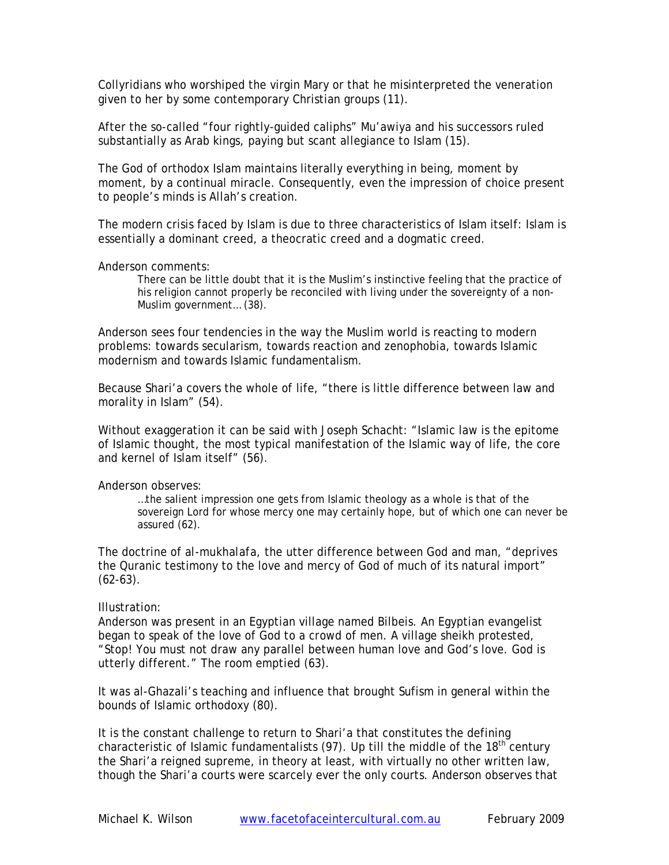Collyridians who worshiped the virgin Mary or that he misinterpreted the veneration given to her by some contemporary Christian groups (11).

After the so-called "four rightly-guided caliphs" Mu'awiya and his successors ruled substantially as Arab kings, paying but scant allegiance to Islam (15).

The God of orthodox Islam maintains literally everything in being, moment by moment, by a continual miracle. Consequently, even the impression of choice present to people's minds is Allah's creation.

The modern crisis faced by Islam is due to three characteristics of Islam itself: Islam is essentially a dominant creed, a theocratic creed and a dogmatic creed.

### Anderson comments:

There can be little doubt that it is the Muslim's instinctive feeling that the practice of his religion cannot properly be reconciled with living under the sovereignty of a non-Muslim government… (38).

Anderson sees four tendencies in the way the Muslim world is reacting to modern problems: towards secularism, towards reaction and zenophobia, towards Islamic modernism and towards Islamic fundamentalism.

Because Shari'a covers the whole of life, "there is little difference between law and morality in Islam" (54).

Without exaggeration it can be said with Joseph Schacht: "Islamic law is the epitome of Islamic thought, the most typical manifestation of the Islamic way of life, the core and kernel of Islam itself" (56).

# Anderson observes:

…the salient impression one gets from Islamic theology as a whole is that of the sovereign Lord for whose mercy one may certainly hope, but of which one can never be assured (62).

The doctrine of *al-mukhalafa*, the utter difference between God and man, "deprives the Quranic testimony to the love and mercy of God of much of its natural import"  $(62-63)$ .

# Illustration:

Anderson was present in an Egyptian village named Bilbeis. An Egyptian evangelist began to speak of the love of God to a crowd of men. A village sheikh protested, "Stop! You must not draw any parallel between human love and God's love. God is utterly different." The room emptied (63).

It was al-Ghazali's teaching and influence that brought Sufism in general within the bounds of Islamic orthodoxy (80).

It is the constant challenge to return to Shari'a that constitutes the defining characteristic of Islamic fundamentalists (97). Up till the middle of the  $18<sup>th</sup>$  century the Shari'a reigned supreme, in theory at least, with virtually no other written law, though the Shari'a courts were scarcely ever the only courts. Anderson observes that